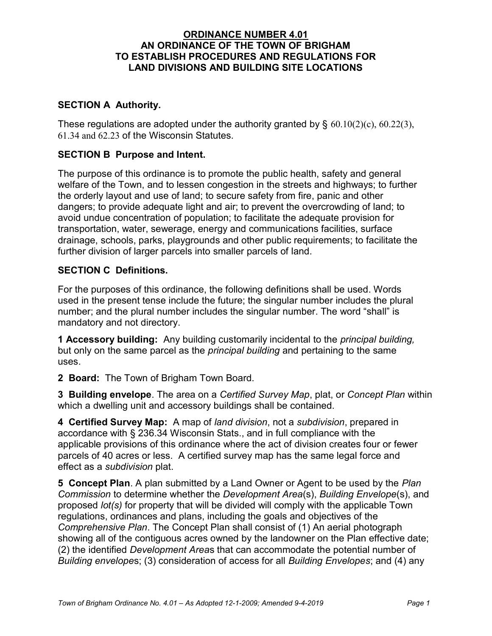### ORDINANCE NUMBER 4.01 AN ORDINANCE OF THE TOWN OF BRIGHAM TO ESTABLISH PROCEDURES AND REGULATIONS FOR LAND DIVISIONS AND BUILDING SITE LOCATIONS

# SECTION A Authority.

These regulations are adopted under the authority granted by  $\S$  60.10(2)(c), 60.22(3), 61.34 and 62.23 of the Wisconsin Statutes.

### SECTION B Purpose and Intent.

The purpose of this ordinance is to promote the public health, safety and general welfare of the Town, and to lessen congestion in the streets and highways; to further the orderly layout and use of land; to secure safety from fire, panic and other dangers; to provide adequate light and air; to prevent the overcrowding of land; to avoid undue concentration of population; to facilitate the adequate provision for transportation, water, sewerage, energy and communications facilities, surface drainage, schools, parks, playgrounds and other public requirements; to facilitate the further division of larger parcels into smaller parcels of land.

#### SECTION C Definitions.

For the purposes of this ordinance, the following definitions shall be used. Words used in the present tense include the future; the singular number includes the plural number; and the plural number includes the singular number. The word "shall" is mandatory and not directory.

**1 Accessory building:** Any building customarily incidental to the *principal building*, but only on the same parcel as the *principal building* and pertaining to the same uses.

2 Board: The Town of Brigham Town Board.

3 Building envelope. The area on a Certified Survey Map, plat, or Concept Plan within which a dwelling unit and accessory buildings shall be contained.

4 Certified Survey Map: A map of land division, not a subdivision, prepared in accordance with § 236.34 Wisconsin Stats., and in full compliance with the applicable provisions of this ordinance where the act of division creates four or fewer parcels of 40 acres or less. A certified survey map has the same legal force and effect as a subdivision plat.

5 Concept Plan. A plan submitted by a Land Owner or Agent to be used by the Plan Commission to determine whether the Development Area(s), Building Envelope(s), and proposed lot(s) for property that will be divided will comply with the applicable Town regulations, ordinances and plans, including the goals and objectives of the Comprehensive Plan. The Concept Plan shall consist of (1) An aerial photograph showing all of the contiguous acres owned by the landowner on the Plan effective date; (2) the identified Development Areas that can accommodate the potential number of Building envelopes; (3) consideration of access for all Building Envelopes; and (4) any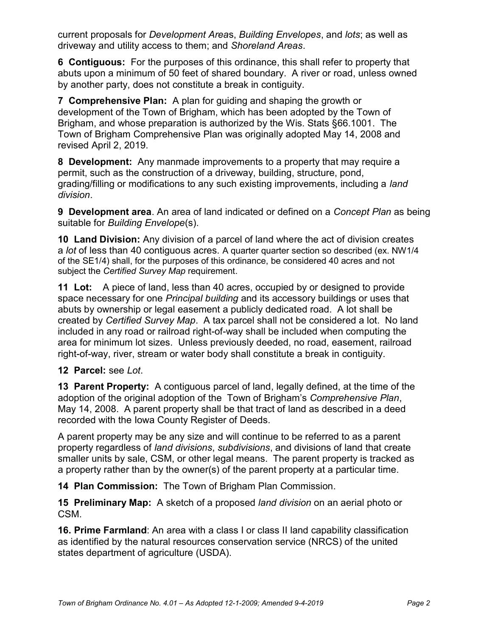current proposals for Development Areas, Building Envelopes, and lots; as well as driveway and utility access to them; and Shoreland Areas.

6 Contiguous: For the purposes of this ordinance, this shall refer to property that abuts upon a minimum of 50 feet of shared boundary. A river or road, unless owned by another party, does not constitute a break in contiguity.

7 Comprehensive Plan: A plan for guiding and shaping the growth or development of the Town of Brigham, which has been adopted by the Town of Brigham, and whose preparation is authorized by the Wis. Stats §66.1001. The Town of Brigham Comprehensive Plan was originally adopted May 14, 2008 and revised April 2, 2019.

8 Development: Any manmade improvements to a property that may require a permit, such as the construction of a driveway, building, structure, pond, grading/filling or modifications to any such existing improvements, including a land division.

9 Development area. An area of land indicated or defined on a Concept Plan as being suitable for Building Envelope(s).

10 Land Division: Any division of a parcel of land where the act of division creates a lot of less than 40 contiguous acres. A quarter quarter section so described (ex. NW1/4 of the SE1/4) shall, for the purposes of this ordinance, be considered 40 acres and not subject the Certified Survey Map requirement.

11 Lot: A piece of land, less than 40 acres, occupied by or designed to provide space necessary for one *Principal building* and its accessory buildings or uses that abuts by ownership or legal easement a publicly dedicated road. A lot shall be created by Certified Survey Map. A tax parcel shall not be considered a lot. No land included in any road or railroad right-of-way shall be included when computing the area for minimum lot sizes. Unless previously deeded, no road, easement, railroad right-of-way, river, stream or water body shall constitute a break in contiguity.

# 12 Parcel: see Lot.

13 Parent Property: A contiguous parcel of land, legally defined, at the time of the adoption of the original adoption of the Town of Brigham's Comprehensive Plan, May 14, 2008. A parent property shall be that tract of land as described in a deed recorded with the Iowa County Register of Deeds.

A parent property may be any size and will continue to be referred to as a parent property regardless of land divisions, subdivisions, and divisions of land that create smaller units by sale, CSM, or other legal means. The parent property is tracked as a property rather than by the owner(s) of the parent property at a particular time.

14 Plan Commission: The Town of Brigham Plan Commission.

15 Preliminary Map: A sketch of a proposed land division on an aerial photo or CSM.

**16. Prime Farmland:** An area with a class I or class II land capability classification as identified by the natural resources conservation service (NRCS) of the united states department of agriculture (USDA).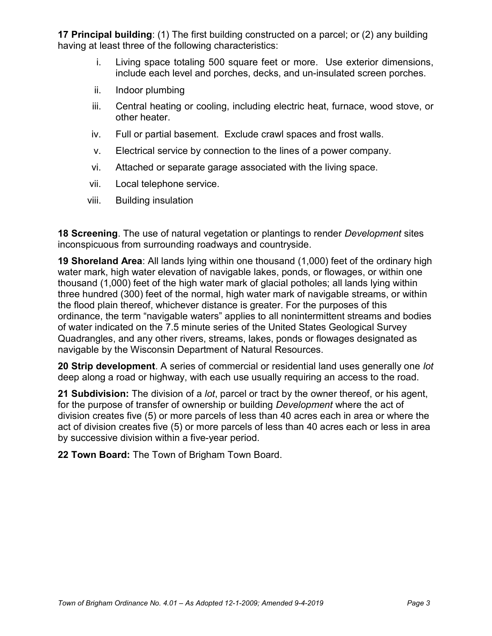17 Principal building: (1) The first building constructed on a parcel; or (2) any building having at least three of the following characteristics:

- i. Living space totaling 500 square feet or more. Use exterior dimensions, include each level and porches, decks, and un-insulated screen porches.
- ii. Indoor plumbing
- iii. Central heating or cooling, including electric heat, furnace, wood stove, or other heater.
- iv. Full or partial basement. Exclude crawl spaces and frost walls.
- v. Electrical service by connection to the lines of a power company.
- vi. Attached or separate garage associated with the living space.
- vii. Local telephone service.
- viii. Building insulation

**18 Screening**. The use of natural vegetation or plantings to render *Development* sites inconspicuous from surrounding roadways and countryside.

19 Shoreland Area: All lands lying within one thousand (1,000) feet of the ordinary high water mark, high water elevation of navigable lakes, ponds, or flowages, or within one thousand (1,000) feet of the high water mark of glacial potholes; all lands lying within three hundred (300) feet of the normal, high water mark of navigable streams, or within the flood plain thereof, whichever distance is greater. For the purposes of this ordinance, the term "navigable waters" applies to all nonintermittent streams and bodies of water indicated on the 7.5 minute series of the United States Geological Survey Quadrangles, and any other rivers, streams, lakes, ponds or flowages designated as navigable by the Wisconsin Department of Natural Resources.

20 Strip development. A series of commercial or residential land uses generally one lot deep along a road or highway, with each use usually requiring an access to the road.

21 Subdivision: The division of a *lot*, parcel or tract by the owner thereof, or his agent, for the purpose of transfer of ownership or building *Development* where the act of division creates five (5) or more parcels of less than 40 acres each in area or where the act of division creates five (5) or more parcels of less than 40 acres each or less in area by successive division within a five-year period.

22 Town Board: The Town of Brigham Town Board.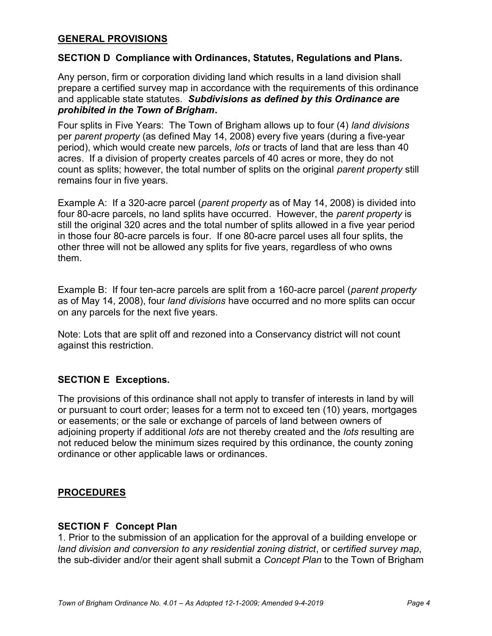#### GENERAL PROVISIONS

#### SECTION D Compliance with Ordinances, Statutes, Regulations and Plans.

Any person, firm or corporation dividing land which results in a land division shall prepare a certified survey map in accordance with the requirements of this ordinance and applicable state statutes. Subdivisions as defined by this Ordinance are prohibited in the Town of Brigham.

Four splits in Five Years: The Town of Brigham allows up to four (4) land divisions per parent property (as defined May 14, 2008) every five years (during a five-year period), which would create new parcels, lots or tracts of land that are less than 40 acres. If a division of property creates parcels of 40 acres or more, they do not count as splits; however, the total number of splits on the original parent property still remains four in five years.

Example A: If a 320-acre parcel (parent property as of May 14, 2008) is divided into four 80-acre parcels, no land splits have occurred. However, the parent property is still the original 320 acres and the total number of splits allowed in a five year period in those four 80-acre parcels is four. If one 80-acre parcel uses all four splits, the other three will not be allowed any splits for five years, regardless of who owns them.

Example B: If four ten-acre parcels are split from a 160-acre parcel (*parent property* as of May 14, 2008), four land divisions have occurred and no more splits can occur on any parcels for the next five years.

Note: Lots that are split off and rezoned into a Conservancy district will not count against this restriction.

#### SECTION E Exceptions.

The provisions of this ordinance shall not apply to transfer of interests in land by will or pursuant to court order; leases for a term not to exceed ten (10) years, mortgages or easements; or the sale or exchange of parcels of land between owners of adjoining property if additional lots are not thereby created and the lots resulting are not reduced below the minimum sizes required by this ordinance, the county zoning ordinance or other applicable laws or ordinances.

#### **PROCEDURES**

#### SECTION F Concept Plan

1. Prior to the submission of an application for the approval of a building envelope or land division and conversion to any residential zoning district, or certified survey map, the sub-divider and/or their agent shall submit a Concept Plan to the Town of Brigham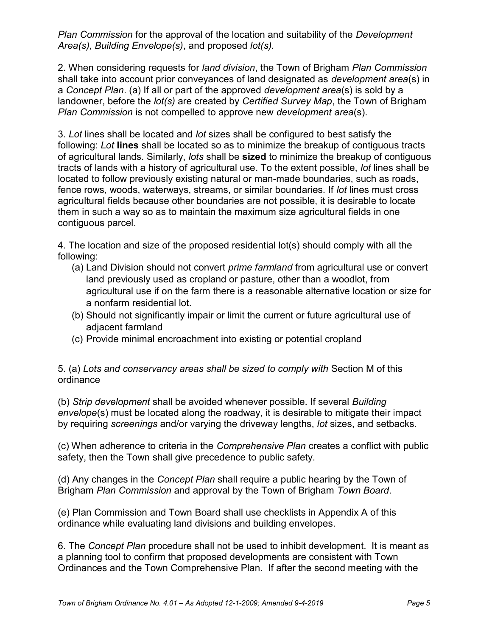Plan Commission for the approval of the location and suitability of the Development Area(s), Building Envelope(s), and proposed lot(s).

2. When considering requests for land division, the Town of Brigham Plan Commission shall take into account prior conveyances of land designated as development area(s) in a Concept Plan. (a) If all or part of the approved development area(s) is sold by a landowner, before the *lot(s)* are created by *Certified Survey Map*, the Town of Brigham Plan Commission is not compelled to approve new development area(s).

3. Lot lines shall be located and lot sizes shall be configured to best satisfy the following: Lot lines shall be located so as to minimize the breakup of contiguous tracts of agricultural lands. Similarly, *lots* shall be **sized** to minimize the breakup of contiguous tracts of lands with a history of agricultural use. To the extent possible, lot lines shall be located to follow previously existing natural or man-made boundaries, such as roads, fence rows, woods, waterways, streams, or similar boundaries. If lot lines must cross agricultural fields because other boundaries are not possible, it is desirable to locate them in such a way so as to maintain the maximum size agricultural fields in one contiguous parcel.

4. The location and size of the proposed residential lot(s) should comply with all the following:

- (a) Land Division should not convert *prime farmland* from agricultural use or convert land previously used as cropland or pasture, other than a woodlot, from agricultural use if on the farm there is a reasonable alternative location or size for a nonfarm residential lot.
- (b) Should not significantly impair or limit the current or future agricultural use of adjacent farmland
- (c) Provide minimal encroachment into existing or potential cropland

#### 5. (a) Lots and conservancy areas shall be sized to comply with Section M of this ordinance

(b) Strip development shall be avoided whenever possible. If several Building envelope(s) must be located along the roadway, it is desirable to mitigate their impact by requiring screenings and/or varying the driveway lengths, lot sizes, and setbacks.

(c) When adherence to criteria in the Comprehensive Plan creates a conflict with public safety, then the Town shall give precedence to public safety.

(d) Any changes in the Concept Plan shall require a public hearing by the Town of Brigham Plan Commission and approval by the Town of Brigham Town Board.

(e) Plan Commission and Town Board shall use checklists in Appendix A of this ordinance while evaluating land divisions and building envelopes.

6. The Concept Plan procedure shall not be used to inhibit development. It is meant as a planning tool to confirm that proposed developments are consistent with Town Ordinances and the Town Comprehensive Plan. If after the second meeting with the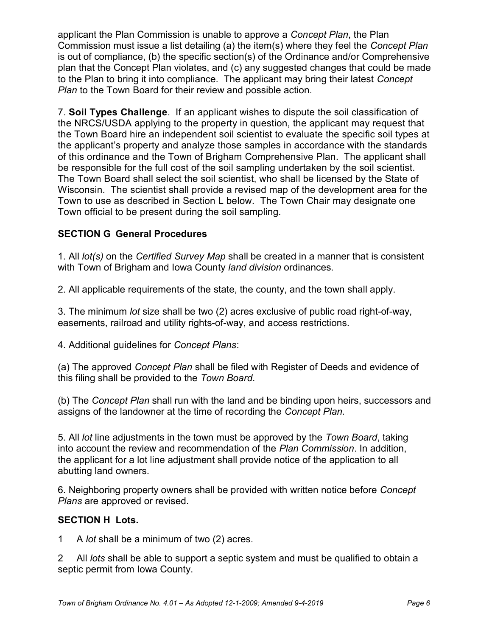applicant the Plan Commission is unable to approve a Concept Plan, the Plan Commission must issue a list detailing (a) the item(s) where they feel the Concept Plan is out of compliance, (b) the specific section(s) of the Ordinance and/or Comprehensive plan that the Concept Plan violates, and (c) any suggested changes that could be made to the Plan to bring it into compliance. The applicant may bring their latest Concept Plan to the Town Board for their review and possible action.

7. Soil Types Challenge. If an applicant wishes to dispute the soil classification of the NRCS/USDA applying to the property in question, the applicant may request that the Town Board hire an independent soil scientist to evaluate the specific soil types at the applicant's property and analyze those samples in accordance with the standards of this ordinance and the Town of Brigham Comprehensive Plan. The applicant shall be responsible for the full cost of the soil sampling undertaken by the soil scientist. The Town Board shall select the soil scientist, who shall be licensed by the State of Wisconsin. The scientist shall provide a revised map of the development area for the Town to use as described in Section L below. The Town Chair may designate one Town official to be present during the soil sampling.

# SECTION G General Procedures

1. All lot(s) on the Certified Survey Map shall be created in a manner that is consistent with Town of Brigham and Iowa County land division ordinances.

2. All applicable requirements of the state, the county, and the town shall apply.

3. The minimum lot size shall be two (2) acres exclusive of public road right-of-way, easements, railroad and utility rights-of-way, and access restrictions.

4. Additional guidelines for Concept Plans:

(a) The approved Concept Plan shall be filed with Register of Deeds and evidence of this filing shall be provided to the Town Board.

(b) The Concept Plan shall run with the land and be binding upon heirs, successors and assigns of the landowner at the time of recording the Concept Plan.

5. All lot line adjustments in the town must be approved by the Town Board, taking into account the review and recommendation of the Plan Commission. In addition, the applicant for a lot line adjustment shall provide notice of the application to all abutting land owners.

6. Neighboring property owners shall be provided with written notice before Concept Plans are approved or revised.

#### SECTION H Lots.

1 A lot shall be a minimum of two (2) acres.

2 All *lots* shall be able to support a septic system and must be qualified to obtain a septic permit from Iowa County.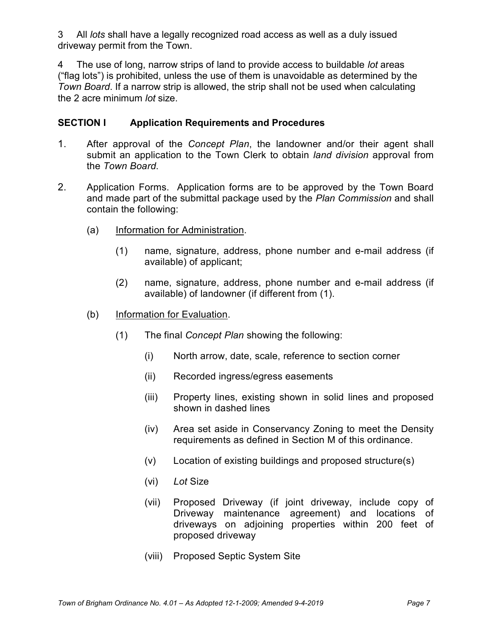3 All *lots* shall have a legally recognized road access as well as a duly issued driveway permit from the Town.

4 The use of long, narrow strips of land to provide access to buildable lot areas ("flag lots") is prohibited, unless the use of them is unavoidable as determined by the Town Board. If a narrow strip is allowed, the strip shall not be used when calculating the 2 acre minimum lot size.

### SECTION I Application Requirements and Procedures

- 1. After approval of the Concept Plan, the landowner and/or their agent shall submit an application to the Town Clerk to obtain *land division* approval from the Town Board.
- 2. Application Forms. Application forms are to be approved by the Town Board and made part of the submittal package used by the Plan Commission and shall contain the following:
	- (a) Information for Administration.
		- (1) name, signature, address, phone number and e-mail address (if available) of applicant;
		- (2) name, signature, address, phone number and e-mail address (if available) of landowner (if different from (1).
	- (b) Information for Evaluation.
		- (1) The final Concept Plan showing the following:
			- (i) North arrow, date, scale, reference to section corner
			- (ii) Recorded ingress/egress easements
			- (iii) Property lines, existing shown in solid lines and proposed shown in dashed lines
			- (iv) Area set aside in Conservancy Zoning to meet the Density requirements as defined in Section M of this ordinance.
			- (v) Location of existing buildings and proposed structure(s)
			- (vi) Lot Size
			- (vii) Proposed Driveway (if joint driveway, include copy of Driveway maintenance agreement) and locations of driveways on adjoining properties within 200 feet of proposed driveway
			- (viii) Proposed Septic System Site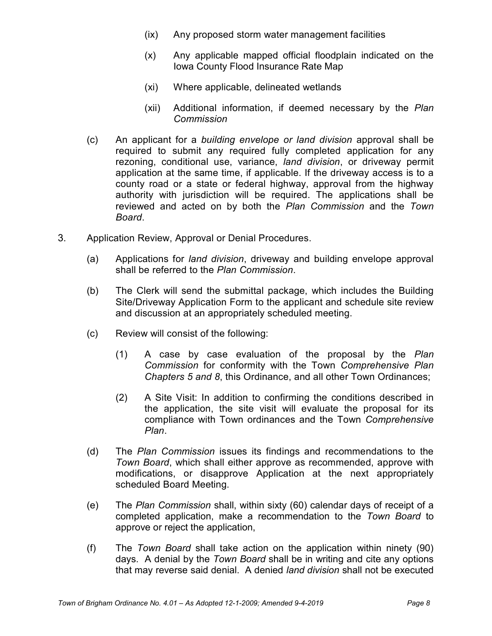- (ix) Any proposed storm water management facilities
- (x) Any applicable mapped official floodplain indicated on the Iowa County Flood Insurance Rate Map
- (xi) Where applicable, delineated wetlands
- (xii) Additional information, if deemed necessary by the Plan Commission
- (c) An applicant for a building envelope or land division approval shall be required to submit any required fully completed application for any rezoning, conditional use, variance, land division, or driveway permit application at the same time, if applicable. If the driveway access is to a county road or a state or federal highway, approval from the highway authority with jurisdiction will be required. The applications shall be reviewed and acted on by both the Plan Commission and the Town Board.
- 3. Application Review, Approval or Denial Procedures.
	- (a) Applications for land division, driveway and building envelope approval shall be referred to the Plan Commission.
	- (b) The Clerk will send the submittal package, which includes the Building Site/Driveway Application Form to the applicant and schedule site review and discussion at an appropriately scheduled meeting.
	- (c) Review will consist of the following:
		- (1) A case by case evaluation of the proposal by the Plan Commission for conformity with the Town Comprehensive Plan Chapters 5 and 8, this Ordinance, and all other Town Ordinances;
		- (2) A Site Visit: In addition to confirming the conditions described in the application, the site visit will evaluate the proposal for its compliance with Town ordinances and the Town Comprehensive Plan.
	- (d) The Plan Commission issues its findings and recommendations to the Town Board, which shall either approve as recommended, approve with modifications, or disapprove Application at the next appropriately scheduled Board Meeting.
	- (e) The Plan Commission shall, within sixty (60) calendar days of receipt of a completed application, make a recommendation to the Town Board to approve or reject the application,
	- (f) The Town Board shall take action on the application within ninety (90) days. A denial by the Town Board shall be in writing and cite any options that may reverse said denial. A denied land division shall not be executed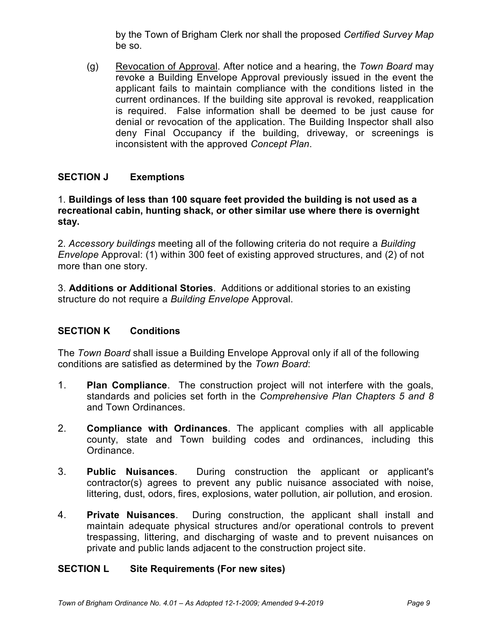by the Town of Brigham Clerk nor shall the proposed Certified Survey Map be so.

(g) Revocation of Approval. After notice and a hearing, the Town Board may revoke a Building Envelope Approval previously issued in the event the applicant fails to maintain compliance with the conditions listed in the current ordinances. If the building site approval is revoked, reapplication is required. False information shall be deemed to be just cause for denial or revocation of the application. The Building Inspector shall also deny Final Occupancy if the building, driveway, or screenings is inconsistent with the approved Concept Plan.

# SECTION J Exemptions

#### 1. Buildings of less than 100 square feet provided the building is not used as a recreational cabin, hunting shack, or other similar use where there is overnight stay.

2. Accessory buildings meeting all of the following criteria do not require a Building Envelope Approval: (1) within 300 feet of existing approved structures, and (2) of not more than one story.

3. Additions or Additional Stories. Additions or additional stories to an existing structure do not require a Building Envelope Approval.

#### SECTION K Conditions

The Town Board shall issue a Building Envelope Approval only if all of the following conditions are satisfied as determined by the Town Board:

- 1. Plan Compliance. The construction project will not interfere with the goals, standards and policies set forth in the Comprehensive Plan Chapters 5 and 8 and Town Ordinances.
- 2. Compliance with Ordinances. The applicant complies with all applicable county, state and Town building codes and ordinances, including this Ordinance.
- 3. Public Nuisances. During construction the applicant or applicant's contractor(s) agrees to prevent any public nuisance associated with noise, littering, dust, odors, fires, explosions, water pollution, air pollution, and erosion.
- 4. **Private Nuisances**. During construction, the applicant shall install and maintain adequate physical structures and/or operational controls to prevent trespassing, littering, and discharging of waste and to prevent nuisances on private and public lands adjacent to the construction project site.

#### SECTION L Site Requirements (For new sites)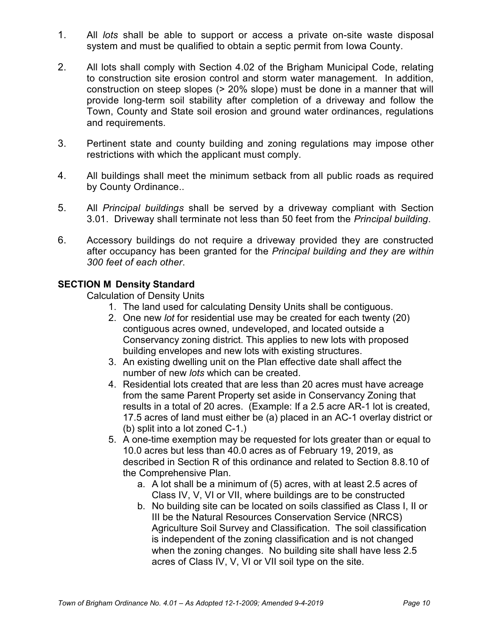- 1. All lots shall be able to support or access a private on-site waste disposal system and must be qualified to obtain a septic permit from Iowa County.
- 2. All lots shall comply with Section 4.02 of the Brigham Municipal Code, relating to construction site erosion control and storm water management. In addition, construction on steep slopes (> 20% slope) must be done in a manner that will provide long-term soil stability after completion of a driveway and follow the Town, County and State soil erosion and ground water ordinances, regulations and requirements.
- 3. Pertinent state and county building and zoning regulations may impose other restrictions with which the applicant must comply.
- 4. All buildings shall meet the minimum setback from all public roads as required by County Ordinance..
- 5. All Principal buildings shall be served by a driveway compliant with Section 3.01. Driveway shall terminate not less than 50 feet from the Principal building.
- 6. Accessory buildings do not require a driveway provided they are constructed after occupancy has been granted for the Principal building and they are within 300 feet of each other.

# SECTION M Density Standard

Calculation of Density Units

- 1. The land used for calculating Density Units shall be contiguous.
- 2. One new lot for residential use may be created for each twenty (20) contiguous acres owned, undeveloped, and located outside a Conservancy zoning district. This applies to new lots with proposed building envelopes and new lots with existing structures.
- 3. An existing dwelling unit on the Plan effective date shall affect the number of new *lots* which can be created.
- 4. Residential lots created that are less than 20 acres must have acreage from the same Parent Property set aside in Conservancy Zoning that results in a total of 20 acres. (Example: If a 2.5 acre AR-1 lot is created, 17.5 acres of land must either be (a) placed in an AC-1 overlay district or (b) split into a lot zoned C-1.)
- 5. A one-time exemption may be requested for lots greater than or equal to 10.0 acres but less than 40.0 acres as of February 19, 2019, as described in Section R of this ordinance and related to Section 8.8.10 of the Comprehensive Plan.
	- a. A lot shall be a minimum of (5) acres, with at least 2.5 acres of Class IV, V, VI or VII, where buildings are to be constructed
	- b. No building site can be located on soils classified as Class I, II or III be the Natural Resources Conservation Service (NRCS) Agriculture Soil Survey and Classification. The soil classification is independent of the zoning classification and is not changed when the zoning changes. No building site shall have less 2.5 acres of Class IV, V, VI or VII soil type on the site.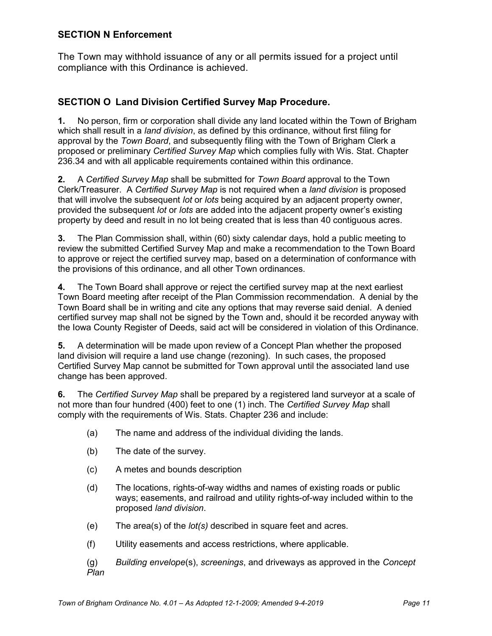#### SECTION N Enforcement

The Town may withhold issuance of any or all permits issued for a project until compliance with this Ordinance is achieved.

# SECTION O Land Division Certified Survey Map Procedure.

1. No person, firm or corporation shall divide any land located within the Town of Brigham which shall result in a *land division*, as defined by this ordinance, without first filing for approval by the Town Board, and subsequently filing with the Town of Brigham Clerk a proposed or preliminary Certified Survey Map which complies fully with Wis. Stat. Chapter 236.34 and with all applicable requirements contained within this ordinance.

2. A Certified Survey Map shall be submitted for Town Board approval to the Town Clerk/Treasurer. A Certified Survey Map is not required when a land division is proposed that will involve the subsequent lot or lots being acquired by an adjacent property owner, provided the subsequent lot or lots are added into the adjacent property owner's existing property by deed and result in no lot being created that is less than 40 contiguous acres.

3. The Plan Commission shall, within (60) sixty calendar days, hold a public meeting to review the submitted Certified Survey Map and make a recommendation to the Town Board to approve or reject the certified survey map, based on a determination of conformance with the provisions of this ordinance, and all other Town ordinances.

4. The Town Board shall approve or reject the certified survey map at the next earliest Town Board meeting after receipt of the Plan Commission recommendation. A denial by the Town Board shall be in writing and cite any options that may reverse said denial. A denied certified survey map shall not be signed by the Town and, should it be recorded anyway with the Iowa County Register of Deeds, said act will be considered in violation of this Ordinance.

5. A determination will be made upon review of a Concept Plan whether the proposed land division will require a land use change (rezoning). In such cases, the proposed Certified Survey Map cannot be submitted for Town approval until the associated land use change has been approved.

6. The Certified Survey Map shall be prepared by a registered land surveyor at a scale of not more than four hundred (400) feet to one (1) inch. The Certified Survey Map shall comply with the requirements of Wis. Stats. Chapter 236 and include:

- (a) The name and address of the individual dividing the lands.
- (b) The date of the survey.
- (c) A metes and bounds description
- (d) The locations, rights-of-way widths and names of existing roads or public ways; easements, and railroad and utility rights-of-way included within to the proposed land division.
- $(e)$  The area(s) of the *lot(s)* described in square feet and acres.
- (f) Utility easements and access restrictions, where applicable.
- $(q)$  Building envelope(s), screenings, and driveways as approved in the Concept Plan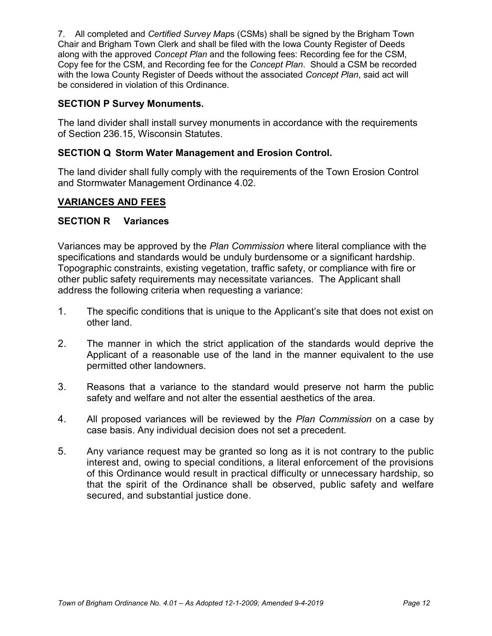7. All completed and Certified Survey Maps (CSMs) shall be signed by the Brigham Town Chair and Brigham Town Clerk and shall be filed with the Iowa County Register of Deeds along with the approved Concept Plan and the following fees: Recording fee for the CSM, Copy fee for the CSM, and Recording fee for the Concept Plan. Should a CSM be recorded with the Iowa County Register of Deeds without the associated Concept Plan, said act will be considered in violation of this Ordinance.

### SECTION P Survey Monuments.

The land divider shall install survey monuments in accordance with the requirements of Section 236.15, Wisconsin Statutes.

# SECTION Q Storm Water Management and Erosion Control.

The land divider shall fully comply with the requirements of the Town Erosion Control and Stormwater Management Ordinance 4.02.

# VARIANCES AND FEES

#### SECTION R Variances

Variances may be approved by the Plan Commission where literal compliance with the specifications and standards would be unduly burdensome or a significant hardship. Topographic constraints, existing vegetation, traffic safety, or compliance with fire or other public safety requirements may necessitate variances. The Applicant shall address the following criteria when requesting a variance:

- 1. The specific conditions that is unique to the Applicant's site that does not exist on other land.
- 2. The manner in which the strict application of the standards would deprive the Applicant of a reasonable use of the land in the manner equivalent to the use permitted other landowners.
- 3. Reasons that a variance to the standard would preserve not harm the public safety and welfare and not alter the essential aesthetics of the area.
- 4. All proposed variances will be reviewed by the Plan Commission on a case by case basis. Any individual decision does not set a precedent.
- 5. Any variance request may be granted so long as it is not contrary to the public interest and, owing to special conditions, a literal enforcement of the provisions of this Ordinance would result in practical difficulty or unnecessary hardship, so that the spirit of the Ordinance shall be observed, public safety and welfare secured, and substantial justice done.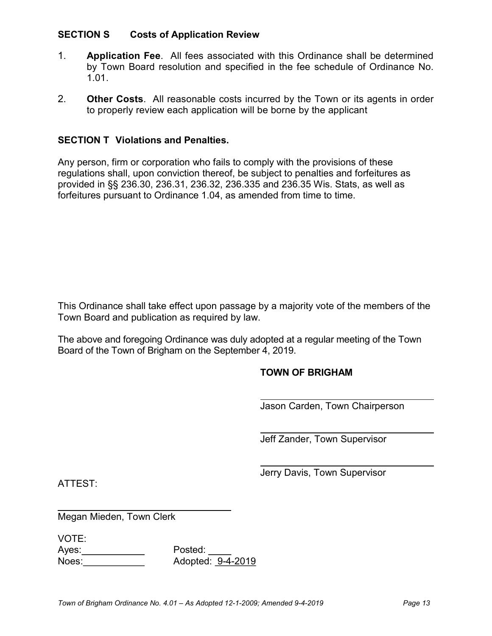#### SECTION S Costs of Application Review

- 1. Application Fee. All fees associated with this Ordinance shall be determined by Town Board resolution and specified in the fee schedule of Ordinance No. 1.01.
- 2. Other Costs. All reasonable costs incurred by the Town or its agents in order to properly review each application will be borne by the applicant

#### SECTION T Violations and Penalties.

Any person, firm or corporation who fails to comply with the provisions of these regulations shall, upon conviction thereof, be subject to penalties and forfeitures as provided in §§ 236.30, 236.31, 236.32, 236.335 and 236.35 Wis. Stats, as well as forfeitures pursuant to Ordinance 1.04, as amended from time to time.

This Ordinance shall take effect upon passage by a majority vote of the members of the Town Board and publication as required by law.

The above and foregoing Ordinance was duly adopted at a regular meeting of the Town Board of the Town of Brigham on the September 4, 2019.

#### TOWN OF BRIGHAM

Jason Carden, Town Chairperson

Jeff Zander, Town Supervisor

Jerry Davis, Town Supervisor

ATTEST:

Megan Mieden, Town Clerk

VOTE:

l

Ayes: Posted: Noes: Adopted: 9-4-2019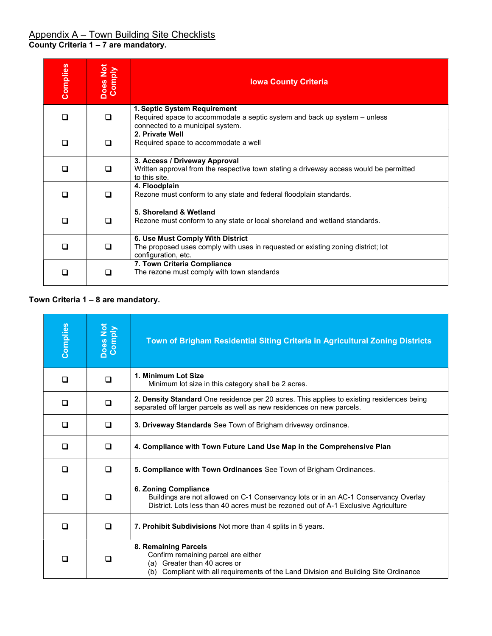| Complies | <b>Does Not</b><br>Comply | <b>Iowa County Criteria</b>                                                                                                                   |
|----------|---------------------------|-----------------------------------------------------------------------------------------------------------------------------------------------|
| □        | □                         | 1. Septic System Requirement<br>Required space to accommodate a septic system and back up system – unless<br>connected to a municipal system. |
| П        | П                         | 2. Private Well<br>Required space to accommodate a well                                                                                       |
|          | □                         | 3. Access / Driveway Approval<br>Written approval from the respective town stating a driveway access would be permitted<br>to this site.      |
|          | П                         | 4. Floodplain<br>Rezone must conform to any state and federal floodplain standards.                                                           |
|          | □                         | 5. Shoreland & Wetland<br>Rezone must conform to any state or local shoreland and wetland standards.                                          |
|          | □                         | 6. Use Must Comply With District<br>The proposed uses comply with uses in requested or existing zoning district; lot<br>configuration, etc.   |
|          | П                         | 7. Town Criteria Compliance<br>The rezone must comply with town standards                                                                     |

#### Town Criteria 1 – 8 are mandatory.

| Complies | Does Not<br>Comply | Town of Brigham Residential Siting Criteria in Agricultural Zoning Districts                                                                                                                      |
|----------|--------------------|---------------------------------------------------------------------------------------------------------------------------------------------------------------------------------------------------|
| $\Box$   | $\Box$             | 1. Minimum Lot Size<br>Minimum lot size in this category shall be 2 acres.                                                                                                                        |
| ◻        | □                  | 2. Density Standard One residence per 20 acres. This applies to existing residences being<br>separated off larger parcels as well as new residences on new parcels.                               |
| □        | □                  | 3. Driveway Standards See Town of Brigham driveway ordinance.                                                                                                                                     |
| □        | □                  | 4. Compliance with Town Future Land Use Map in the Comprehensive Plan                                                                                                                             |
| □        | □                  | 5. Compliance with Town Ordinances See Town of Brigham Ordinances.                                                                                                                                |
| □        | □                  | 6. Zoning Compliance<br>Buildings are not allowed on C-1 Conservancy lots or in an AC-1 Conservancy Overlay<br>District. Lots less than 40 acres must be rezoned out of A-1 Exclusive Agriculture |
| □        | □                  | 7. Prohibit Subdivisions Not more than 4 splits in 5 years.                                                                                                                                       |
| $\Box$   | □                  | 8. Remaining Parcels<br>Confirm remaining parcel are either<br>Greater than 40 acres or<br>(a)<br>(b) Compliant with all requirements of the Land Division and Building Site Ordinance            |